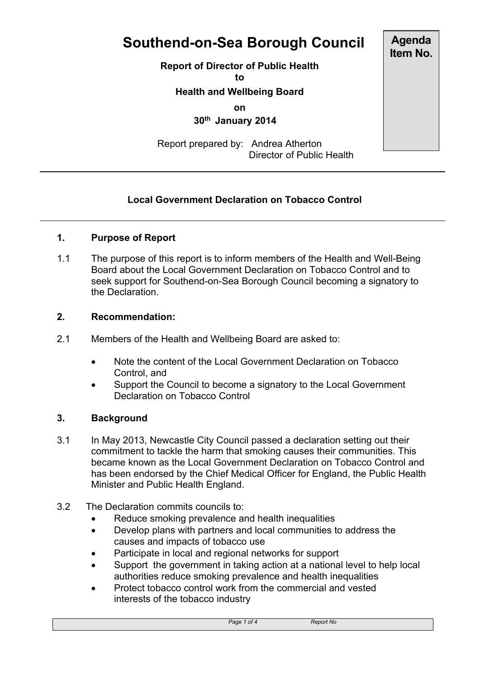# **Southend-on-Sea Borough Council**

**Report of Director of Public Health**

**to**

**Health and Wellbeing Board**

**on**

 **30th January 2014**

Report prepared by: Andrea Atherton Director of Public Health

# **Local Government Declaration on Tobacco Control**

## **1. Purpose of Report**

1.1 The purpose of this report is to inform members of the Health and Well-Being Board about the Local Government Declaration on Tobacco Control and to seek support for Southend-on-Sea Borough Council becoming a signatory to the Declaration.

#### **2. Recommendation:**

- 2.1 Members of the Health and Wellbeing Board are asked to:
	- Note the content of the Local Government Declaration on Tobacco Control, and
	- Support the Council to become a signatory to the Local Government Declaration on Tobacco Control

#### **3. Background**

- 3.1 In May 2013, Newcastle City Council passed a declaration setting out their commitment to tackle the harm that smoking causes their communities. This became known as the Local Government Declaration on Tobacco Control and has been endorsed by the Chief Medical Officer for England, the Public Health Minister and Public Health England.
- 3.2 The Declaration commits councils to:
	- Reduce smoking prevalence and health inequalities
	- Develop plans with partners and local communities to address the causes and impacts of tobacco use
	- Participate in local and regional networks for support
	- Support the government in taking action at a national level to help local authorities reduce smoking prevalence and health inequalities
	- Protect tobacco control work from the commercial and vested interests of the tobacco industry

**Agenda Item No.**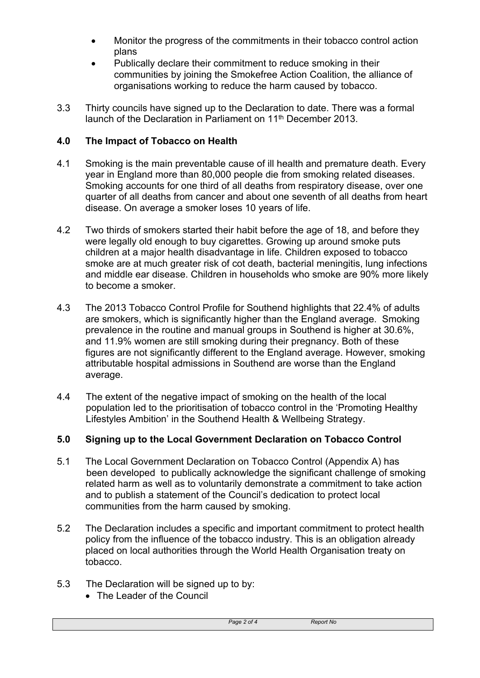- Monitor the progress of the commitments in their tobacco control action plans
- Publically declare their commitment to reduce smoking in their communities by joining the Smokefree Action Coalition, the alliance of organisations working to reduce the harm caused by tobacco.
- 3.3 Thirty councils have signed up to the Declaration to date. There was a formal launch of the Declaration in Parliament on 11<sup>th</sup> December 2013.

## **4.0 The Impact of Tobacco on Health**

- 4.1 Smoking is the main preventable cause of ill health and premature death. Every year in England more than 80,000 people die from smoking related diseases. Smoking accounts for one third of all deaths from respiratory disease, over one quarter of all deaths from cancer and about one seventh of all deaths from heart disease. On average a smoker loses 10 years of life.
- 4.2 Two thirds of smokers started their habit before the age of 18, and before they were legally old enough to buy cigarettes. Growing up around smoke puts children at a major health disadvantage in life. Children exposed to tobacco smoke are at much greater risk of cot death, bacterial meningitis, lung infections and middle ear disease. Children in households who smoke are 90% more likely to become a smoker.
- 4.3 The 2013 Tobacco Control Profile for Southend highlights that 22.4% of adults are smokers, which is significantly higher than the England average. Smoking prevalence in the routine and manual groups in Southend is higher at 30.6%, and 11.9% women are still smoking during their pregnancy. Both of these figures are not significantly different to the England average. However, smoking attributable hospital admissions in Southend are worse than the England average.
- 4.4 The extent of the negative impact of smoking on the health of the local population led to the prioritisation of tobacco control in the 'Promoting Healthy Lifestyles Ambition' in the Southend Health & Wellbeing Strategy.

# **5.0 Signing up to the Local Government Declaration on Tobacco Control**

- 5.1 The Local Government Declaration on Tobacco Control (Appendix A) has been developed to publically acknowledge the significant challenge of smoking related harm as well as to voluntarily demonstrate a commitment to take action and to publish a statement of the Council's dedication to protect local communities from the harm caused by smoking.
- 5.2 The Declaration includes a specific and important commitment to protect health policy from the influence of the tobacco industry. This is an obligation already placed on local authorities through the World Health Organisation treaty on tobacco.
- 5.3 The Declaration will be signed up to by:
	- The Leader of the Council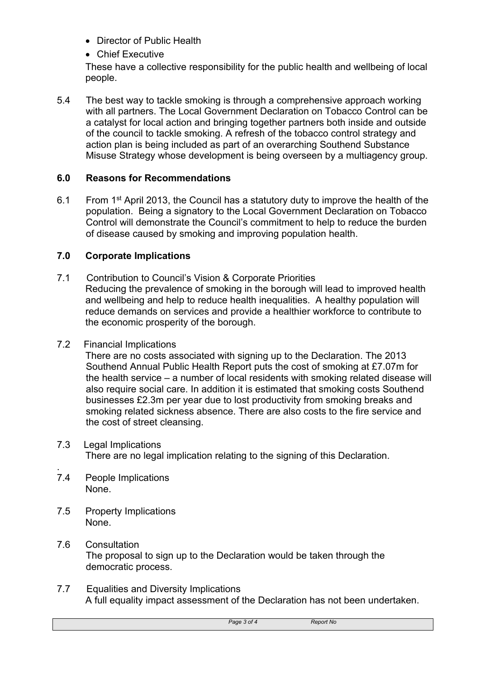- Director of Public Health
- Chief Executive

These have a collective responsibility for the public health and wellbeing of local people.

5.4 The best way to tackle smoking is through a comprehensive approach working with all partners. The Local Government Declaration on Tobacco Control can be a catalyst for local action and bringing together partners both inside and outside of the council to tackle smoking. A refresh of the tobacco control strategy and action plan is being included as part of an overarching Southend Substance Misuse Strategy whose development is being overseen by a multiagency group.

## **6.0 Reasons for Recommendations**

6.1 From 1<sup>st</sup> April 2013, the Council has a statutory duty to improve the health of the population. Being a signatory to the Local Government Declaration on Tobacco Control will demonstrate the Council's commitment to help to reduce the burden of disease caused by smoking and improving population health.

## **7.0 Corporate Implications**

7.1 Contribution to Council's Vision & Corporate Priorities Reducing the prevalence of smoking in the borough will lead to improved health and wellbeing and help to reduce health inequalities. A healthy population will reduce demands on services and provide a healthier workforce to contribute to the economic prosperity of the borough.

#### 7.2 Financial Implications

There are no costs associated with signing up to the Declaration. The 2013 Southend Annual Public Health Report puts the cost of smoking at £7.07m for the health service – a number of local residents with smoking related disease will also require social care. In addition it is estimated that smoking costs Southend businesses £2.3m per year due to lost productivity from smoking breaks and smoking related sickness absence. There are also costs to the fire service and the cost of street cleansing.

#### 7.3 Legal Implications There are no legal implication relating to the signing of this Declaration.

- . 7.4 People Implications None.
- 7.5 Property Implications None.

#### 7.6 Consultation The proposal to sign up to the Declaration would be taken through the democratic process.

7.7 Equalities and Diversity Implications A full equality impact assessment of the Declaration has not been undertaken.

*Page 3 of 4 Report No*